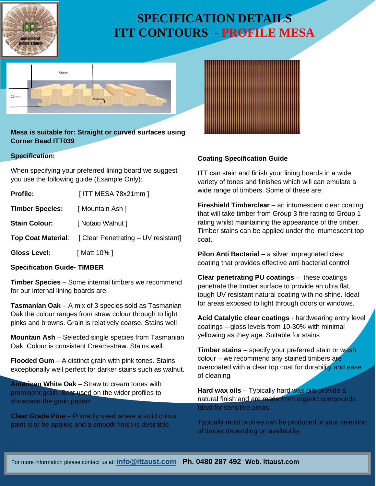

# **SPECIFICATION DETAILS ITT CONTOURS - PROFILE MESA**



**Mesa is suitable for: Straight or curved surfaces using Corner Bead ITT039**

### **Specification:**

.

When specifying your preferred lining board we suggest you use the following guide (Example Only):

| <b>Profile:</b>        | [ ITT MESA 78x21mm ]                                          |
|------------------------|---------------------------------------------------------------|
| <b>Timber Species:</b> | [ Mountain Ash ]                                              |
| <b>Stain Colour:</b>   | [ Notaio Walnut ]                                             |
|                        | <b>Top Coat Material:</b> [ Clear Penetrating – UV resistant] |
| <b>Gloss Level:</b>    | [ Matt 10% ]                                                  |
|                        |                                                               |

### **Specification Guide- TIMBER**

**Timber Species** – Some internal timbers we recommend for our internal lining boards are:

**Tasmanian Oak** – A mix of 3 species sold as Tasmanian Oak the colour ranges from straw colour through to light pinks and browns. Grain is relatively coarse. Stains well

**Mountain Ash** – Selected single species from Tasmanian Oak. Colour is consistent Cream-straw. Stains well.

**Flooded Gum** – A distinct grain with pink tones. Stains exceptionally well perfect for darker stains such as walnut.

**American White Oak** – Straw to cream tones with prominent grain. Best used on the wider profiles to showcase the grain pattern

**Clear Grade Pine** – Primarily used where a solid colour paint is to be applied and a smooth finish is desirable



## **Coating Specification Guide**

ITT can stain and finish your lining boards in a wide variety of tones and finishes which will can emulate a wide range of timbers. Some of these are:

**Fireshield Timberclear** – an intumescent clear coating that will take timber from Group 3 fire rating to Group 1 rating whilst maintaining the appearance of the timber. Timber stains can be applied under the intumescent top coat.

**Pilon Anti Bacterial** – a silver impregnated clear coating that provides effective anti bacterial control

**Clear penetrating PU coatings** – these coatings penetrate the timber surface to provide an ultra flat, tough UV resistant natural coating with no shine. Ideal for areas exposed to light through doors or windows.

**Acid Catalytic clear coatings** - hardwearing entry level coatings – gloss levels from 10-30% with minimal yellowing as they age. Suitable for stains

**Timber stains** – specify your preferred stain or wash colour – we recommend any stained timbers are overcoated with a clear top coat for durability and ease of cleaning

**Hard wax oils** – Typically hard wax oils provide a natural finish and are made from organic compounds. Ideal for sensitive areas.

Typically most profiles can be produced in your selection of timber depending on availability.